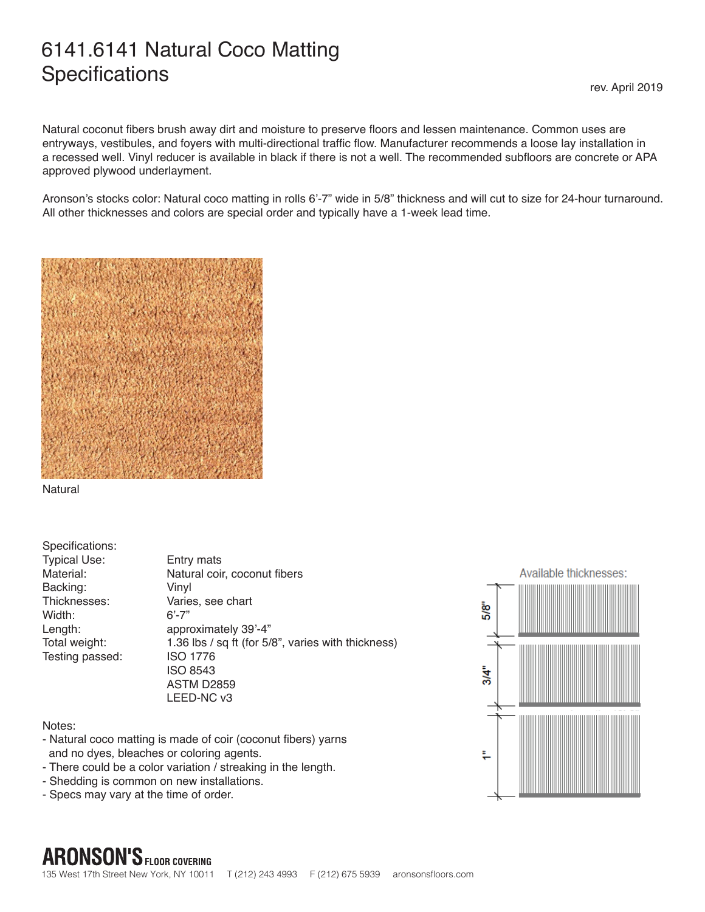## 6141.6141 Natural Coco Matting **Specifications**

Natural coconut fibers brush away dirt and moisture to preserve floors and lessen maintenance. Common uses are entryways, vestibules, and foyers with multi-directional traffic flow. Manufacturer recommends a loose lay installation in a recessed well. Vinyl reducer is available in black if there is not a well. The recommended subfloors are concrete or APA approved plywood underlayment.

Aronson's stocks color: Natural coco matting in rolls 6'-7" wide in 5/8" thickness and will cut to size for 24-hour turnaround. All other thicknesses and colors are special order and typically have a 1-week lead time.



Natural

Specifications:

Typical Use: Entry mats<br>
Material: Natural coil Natural coir, coconut fibers Backing: Vinyl<br>Thicknesses: Varie Varies, see chart<br>6'-7" Width: Length: approximately 39'-4" Total weight: 1.36 lbs / sq ft (for 5/8", varies with thickness) Testing passed: ISO 1776 ISO 8543 ASTM D2859

Notes:

- Natural coco matting is made of coir (coconut fibers) yarns and no dyes, bleaches or coloring agents.

LEED-NC v3

- There could be a color variation / streaking in the length.
- Shedding is common on new installations.
- Specs may vary at the time of order.



## **ARONSON'S FLOOR COVERING**